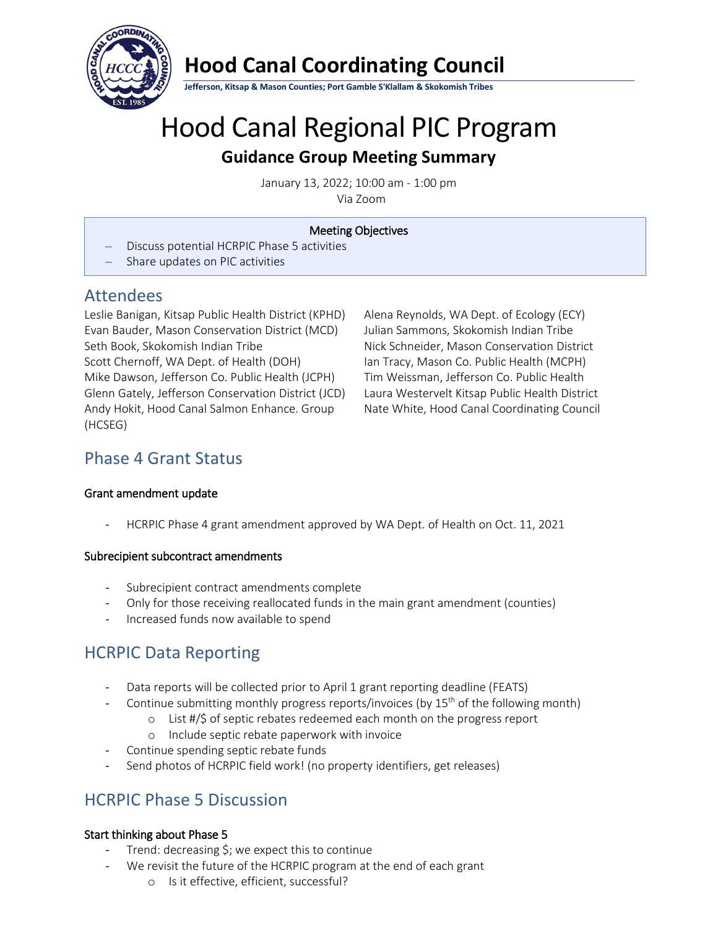

# **Hood Canal Coordinating Council**

**Jefferson, Kitsap & Mason Counties; Port Gamble S'Klallam & Skokomish Tribes**

# Hood Canal Regional PIC Program **Guidance Group Meeting Summary**

January 13, 2022; 10:00 am - 1:00 pm Via Zoom

# Meeting Objectives

- Discuss potential HCRPIC Phase 5 activities
- Share updates on PIC activities

# Attendees

Leslie Banigan, Kitsap Public Health District (KPHD) Evan Bauder, Mason Conservation District (MCD) Seth Book, Skokomish Indian Tribe Scott Chernoff, WA Dept. of Health (DOH) Mike Dawson, Jefferson Co. Public Health (JCPH) Glenn Gately, Jefferson Conservation District (JCD) Andy Hokit, Hood Canal Salmon Enhance. Group (HCSEG)

Alena Reynolds, WA Dept. of Ecology (ECY) Julian Sammons, Skokomish Indian Tribe Nick Schneider, Mason Conservation District Ian Tracy, Mason Co. Public Health (MCPH) Tim Weissman, Jefferson Co. Public Health Laura Westervelt Kitsap Public Health District Nate White, Hood Canal Coordinating Council

# Phase 4 Grant Status

# Grant amendment update

- HCRPIC Phase 4 grant amendment approved by WA Dept. of Health on Oct. 11, 2021

# Subrecipient subcontract amendments

- Subrecipient contract amendments complete
- Only for those receiving reallocated funds in the main grant amendment (counties)
- Increased funds now available to spend

# HCRPIC Data Reporting

- Data reports will be collected prior to April 1 grant reporting deadline (FEATS)
- Continue submitting monthly progress reports/invoices (by  $15<sup>th</sup>$  of the following month)
	- o List #/\$ of septic rebates redeemed each month on the progress report
	- o Include septic rebate paperwork with invoice
- Continue spending septic rebate funds
- Send photos of HCRPIC field work! (no property identifiers, get releases)

# HCRPIC Phase 5 Discussion

# Start thinking about Phase 5

- Trend: decreasing  $\frac{1}{2}$ ; we expect this to continue
- We revisit the future of the HCRPIC program at the end of each grant
	- o Is it effective, efficient, successful?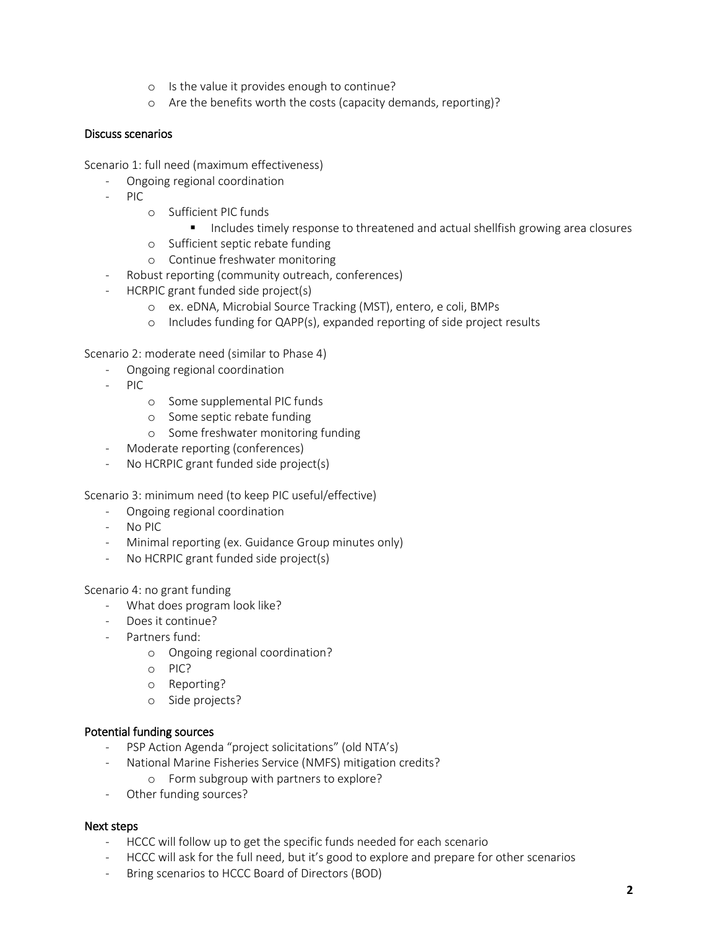- o Is the value it provides enough to continue?
- o Are the benefits worth the costs (capacity demands, reporting)?

# Discuss scenarios

Scenario 1: full need (maximum effectiveness)

- Ongoing regional coordination
- PIC
	- o Sufficient PIC funds
		- **Includes timely response to threatened and actual shellfish growing area closures**
	- o Sufficient septic rebate funding
	- o Continue freshwater monitoring
- Robust reporting (community outreach, conferences)
- HCRPIC grant funded side project(s)
	- o ex. eDNA, Microbial Source Tracking (MST), entero, e coli, BMPs
	- o Includes funding for QAPP(s), expanded reporting of side project results

Scenario 2: moderate need (similar to Phase 4)

- Ongoing regional coordination
- PIC
	- o Some supplemental PIC funds
	- o Some septic rebate funding
	- o Some freshwater monitoring funding
- Moderate reporting (conferences)
- No HCRPIC grant funded side project(s)

Scenario 3: minimum need (to keep PIC useful/effective)

- Ongoing regional coordination
- No PIC
- Minimal reporting (ex. Guidance Group minutes only)
- No HCRPIC grant funded side project(s)

Scenario 4: no grant funding

- What does program look like?
- Does it continue?
- Partners fund:
	- o Ongoing regional coordination?
	- o PIC?
	- o Reporting?
	- o Side projects?

# Potential funding sources

- PSP Action Agenda "project solicitations" (old NTA's)
- National Marine Fisheries Service (NMFS) mitigation credits?
	- o Form subgroup with partners to explore?
- Other funding sources?

# Next steps

- HCCC will follow up to get the specific funds needed for each scenario
- HCCC will ask for the full need, but it's good to explore and prepare for other scenarios
- Bring scenarios to HCCC Board of Directors (BOD)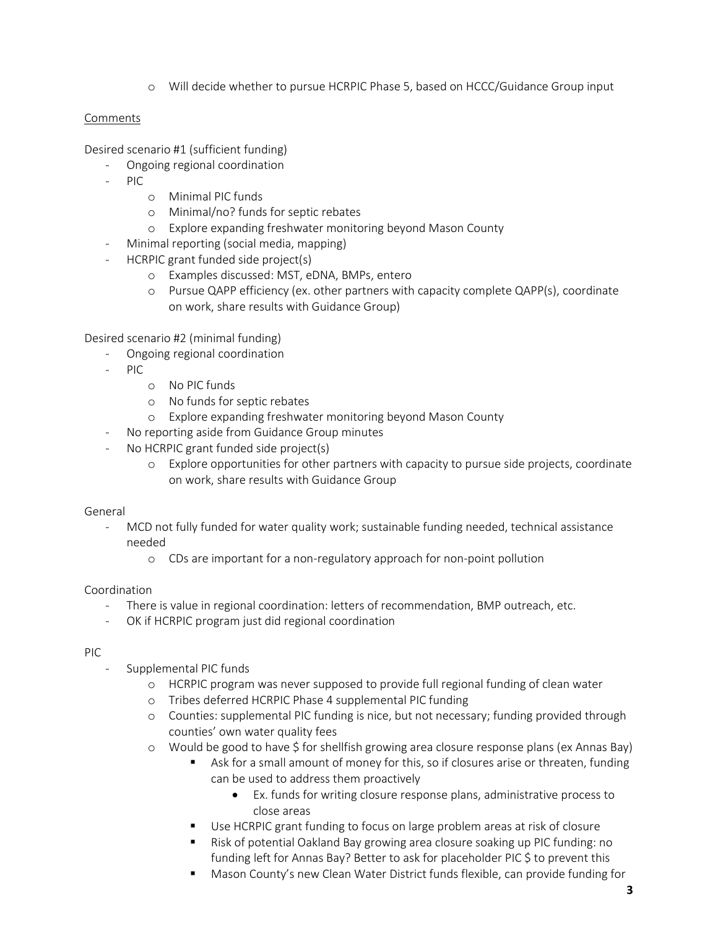o Will decide whether to pursue HCRPIC Phase 5, based on HCCC/Guidance Group input

# Comments

Desired scenario #1 (sufficient funding)

- Ongoing regional coordination
- PIC
	- o Minimal PIC funds
	- o Minimal/no? funds for septic rebates
	- o Explore expanding freshwater monitoring beyond Mason County
- Minimal reporting (social media, mapping)
- HCRPIC grant funded side project(s)
	- o Examples discussed: MST, eDNA, BMPs, entero
	- o Pursue QAPP efficiency (ex. other partners with capacity complete QAPP(s), coordinate on work, share results with Guidance Group)

Desired scenario #2 (minimal funding)

- Ongoing regional coordination
- $PIC$ 
	- o No PIC funds
	- o No funds for septic rebates
	- o Explore expanding freshwater monitoring beyond Mason County
- No reporting aside from Guidance Group minutes
- No HCRPIC grant funded side project(s)
	- o Explore opportunities for other partners with capacity to pursue side projects, coordinate on work, share results with Guidance Group

# General

- MCD not fully funded for water quality work; sustainable funding needed, technical assistance needed
	- o CDs are important for a non-regulatory approach for non-point pollution

# Coordination

- There is value in regional coordination: letters of recommendation, BMP outreach, etc.
- OK if HCRPIC program just did regional coordination

# PIC

- Supplemental PIC funds
	- o HCRPIC program was never supposed to provide full regional funding of clean water
	- o Tribes deferred HCRPIC Phase 4 supplemental PIC funding
	- o Counties: supplemental PIC funding is nice, but not necessary; funding provided through counties' own water quality fees
	- o Would be good to have \$ for shellfish growing area closure response plans (ex Annas Bay)
		- Ask for a small amount of money for this, so if closures arise or threaten, funding can be used to address them proactively
			- Ex. funds for writing closure response plans, administrative process to close areas
		- Use HCRPIC grant funding to focus on large problem areas at risk of closure
		- Risk of potential Oakland Bay growing area closure soaking up PIC funding: no funding left for Annas Bay? Better to ask for placeholder PIC \$ to prevent this
		- Mason County's new Clean Water District funds flexible, can provide funding for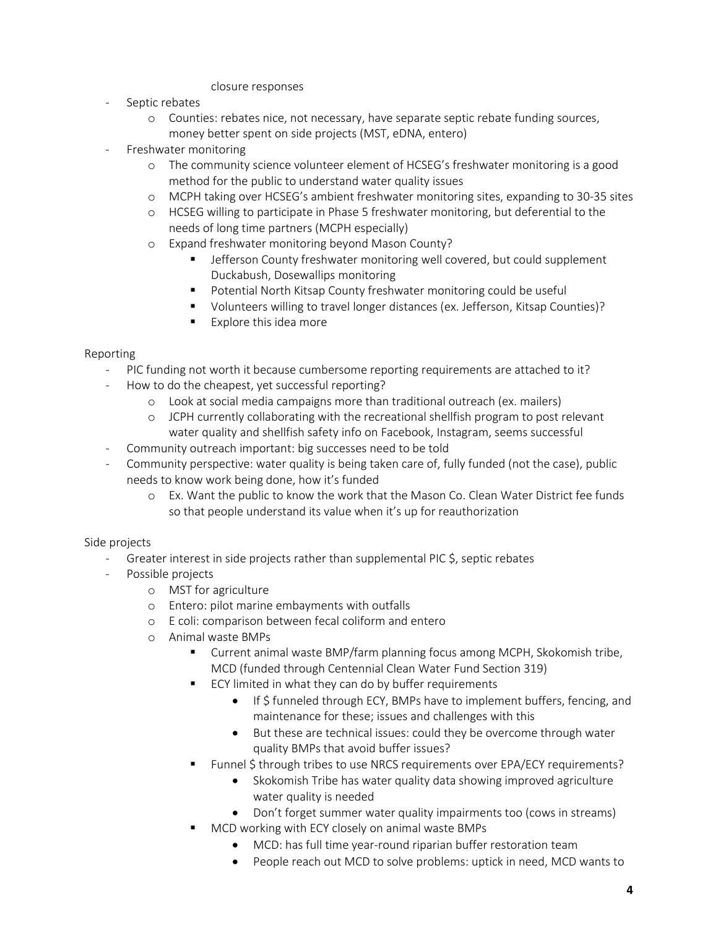#### closure responses

- Septic rebates
	- o Counties: rebates nice, not necessary, have separate septic rebate funding sources, money better spent on side projects (MST, eDNA, entero)
- Freshwater monitoring
	- o The community science volunteer element of HCSEG's freshwater monitoring is a good method for the public to understand water quality issues
	- o MCPH taking over HCSEG's ambient freshwater monitoring sites, expanding to 30-35 sites
	- o HCSEG willing to participate in Phase 5 freshwater monitoring, but deferential to the needs of long time partners (MCPH especially)
	- o Expand freshwater monitoring beyond Mason County?
		- Jefferson County freshwater monitoring well covered, but could supplement Duckabush, Dosewallips monitoring
		- Potential North Kitsap County freshwater monitoring could be useful
		- Volunteers willing to travel longer distances (ex. Jefferson, Kitsap Counties)?
		- **Explore this idea more**

# Reporting

- PIC funding not worth it because cumbersome reporting requirements are attached to it?
- How to do the cheapest, yet successful reporting?
	- o Look at social media campaigns more than traditional outreach (ex. mailers)
	- o JCPH currently collaborating with the recreational shellfish program to post relevant water quality and shellfish safety info on Facebook, Instagram, seems successful
- Community outreach important: big successes need to be told
- Community perspective: water quality is being taken care of, fully funded (not the case), public needs to know work being done, how it's funded
	- o Ex. Want the public to know the work that the Mason Co. Clean Water District fee funds so that people understand its value when it's up for reauthorization

# Side projects

- Greater interest in side projects rather than supplemental PIC \$, septic rebates
	- Possible projects
		- o MST for agriculture
		- o Entero: pilot marine embayments with outfalls
		- o E coli: comparison between fecal coliform and entero
		- o Animal waste BMPs
			- Current animal waste BMP/farm planning focus among MCPH, Skokomish tribe, MCD (funded through Centennial Clean Water Fund Section 319)
			- ECY limited in what they can do by buffer requirements
				- If \$ funneled through ECY, BMPs have to implement buffers, fencing, and maintenance for these; issues and challenges with this
				- But these are technical issues: could they be overcome through water quality BMPs that avoid buffer issues?
			- Funnel \$ through tribes to use NRCS requirements over EPA/ECY requirements?
				- Skokomish Tribe has water quality data showing improved agriculture water quality is needed
				- Don't forget summer water quality impairments too (cows in streams)
				- MCD working with ECY closely on animal waste BMPs
					- MCD: has full time year-round riparian buffer restoration team
					- People reach out MCD to solve problems: uptick in need, MCD wants to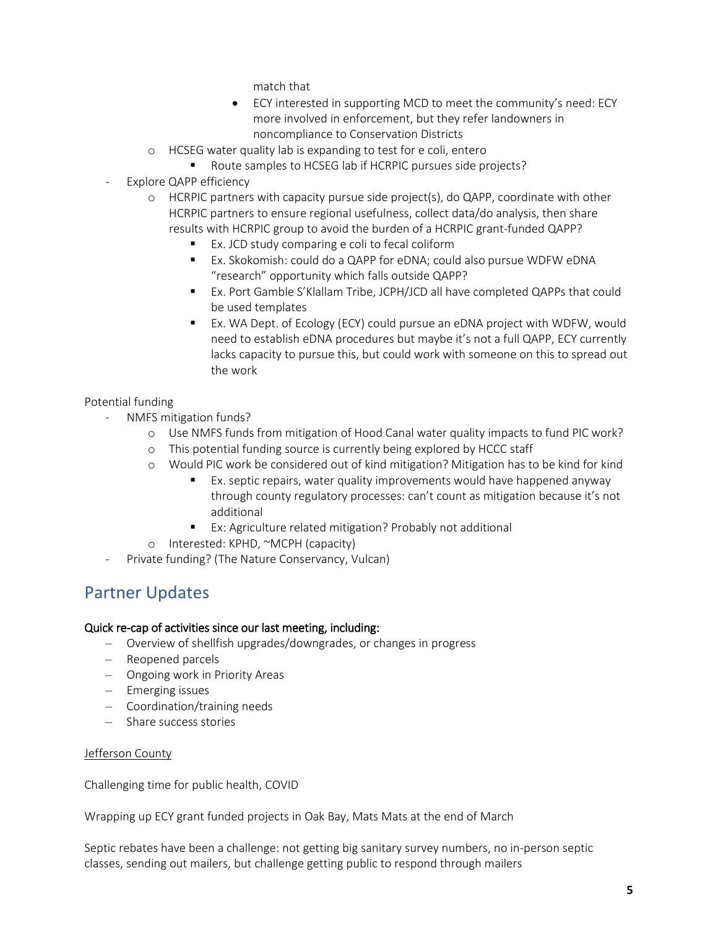match that

- ECY interested in supporting MCD to meet the community's need: ECY more involved in enforcement, but they refer landowners in noncompliance to Conservation Districts
- o HCSEG water quality lab is expanding to test for e coli, entero
	- Route samples to HCSEG lab if HCRPIC pursues side projects?
- Explore QAPP efficiency
	- o HCRPIC partners with capacity pursue side project(s), do QAPP, coordinate with other HCRPIC partners to ensure regional usefulness, collect data/do analysis, then share results with HCRPIC group to avoid the burden of a HCRPIC grant-funded QAPP?
		- Ex. JCD study comparing e coli to fecal coliform
		- Ex. Skokomish: could do a QAPP for eDNA; could also pursue WDFW eDNA "research" opportunity which falls outside QAPP?
		- Ex. Port Gamble S'Klallam Tribe, JCPH/JCD all have completed QAPPs that could be used templates
		- Ex. WA Dept. of Ecology (ECY) could pursue an eDNA project with WDFW, would need to establish eDNA procedures but maybe it's not a full QAPP, ECY currently lacks capacity to pursue this, but could work with someone on this to spread out the work

# Potential funding

- NMFS mitigation funds?
	- o Use NMFS funds from mitigation of Hood Canal water quality impacts to fund PIC work?
	- o This potential funding source is currently being explored by HCCC staff
	- o Would PIC work be considered out of kind mitigation? Mitigation has to be kind for kind
		- Ex. septic repairs, water quality improvements would have happened anyway through county regulatory processes: can't count as mitigation because it's not additional
		- Ex: Agriculture related mitigation? Probably not additional
	- o Interested: KPHD, ~MCPH (capacity)
- Private funding? (The Nature Conservancy, Vulcan)

# Partner Updates

# Quick re-cap of activities since our last meeting, including:

- Overview of shellfish upgrades/downgrades, or changes in progress
- Reopened parcels
- Ongoing work in Priority Areas
- Emerging issues
- Coordination/training needs
- Share success stories

# Jefferson County

Challenging time for public health, COVID

Wrapping up ECY grant funded projects in Oak Bay, Mats Mats at the end of March

Septic rebates have been a challenge: not getting big sanitary survey numbers, no in-person septic classes, sending out mailers, but challenge getting public to respond through mailers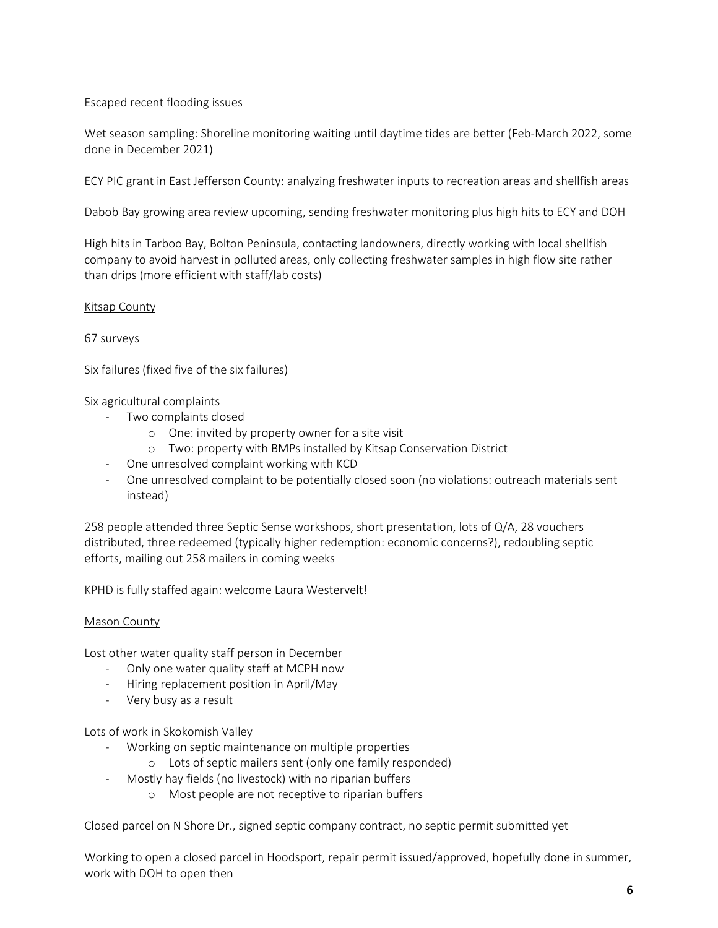# Escaped recent flooding issues

Wet season sampling: Shoreline monitoring waiting until daytime tides are better (Feb-March 2022, some done in December 2021)

ECY PIC grant in East Jefferson County: analyzing freshwater inputs to recreation areas and shellfish areas

Dabob Bay growing area review upcoming, sending freshwater monitoring plus high hits to ECY and DOH

High hits in Tarboo Bay, Bolton Peninsula, contacting landowners, directly working with local shellfish company to avoid harvest in polluted areas, only collecting freshwater samples in high flow site rather than drips (more efficient with staff/lab costs)

#### Kitsap County

67 surveys

Six failures (fixed five of the six failures)

Six agricultural complaints

- Two complaints closed
	- o One: invited by property owner for a site visit
	- o Two: property with BMPs installed by Kitsap Conservation District
- One unresolved complaint working with KCD
- One unresolved complaint to be potentially closed soon (no violations: outreach materials sent instead)

258 people attended three Septic Sense workshops, short presentation, lots of Q/A, 28 vouchers distributed, three redeemed (typically higher redemption: economic concerns?), redoubling septic efforts, mailing out 258 mailers in coming weeks

KPHD is fully staffed again: welcome Laura Westervelt!

#### Mason County

Lost other water quality staff person in December

- Only one water quality staff at MCPH now
- Hiring replacement position in April/May
- Very busy as a result

Lots of work in Skokomish Valley

- Working on septic maintenance on multiple properties
	- o Lots of septic mailers sent (only one family responded)
- Mostly hay fields (no livestock) with no riparian buffers
	- o Most people are not receptive to riparian buffers

Closed parcel on N Shore Dr., signed septic company contract, no septic permit submitted yet

Working to open a closed parcel in Hoodsport, repair permit issued/approved, hopefully done in summer, work with DOH to open then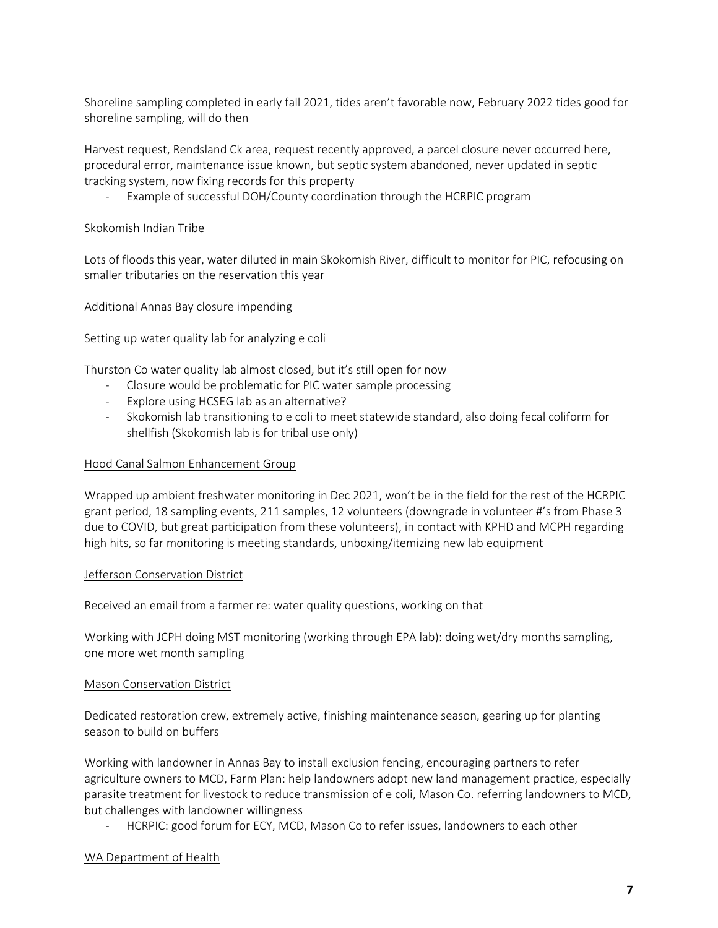Shoreline sampling completed in early fall 2021, tides aren't favorable now, February 2022 tides good for shoreline sampling, will do then

Harvest request, Rendsland Ck area, request recently approved, a parcel closure never occurred here, procedural error, maintenance issue known, but septic system abandoned, never updated in septic tracking system, now fixing records for this property

Example of successful DOH/County coordination through the HCRPIC program

# Skokomish Indian Tribe

Lots of floods this year, water diluted in main Skokomish River, difficult to monitor for PIC, refocusing on smaller tributaries on the reservation this year

Additional Annas Bay closure impending

Setting up water quality lab for analyzing e coli

Thurston Co water quality lab almost closed, but it's still open for now

- Closure would be problematic for PIC water sample processing
- Explore using HCSEG lab as an alternative?
- Skokomish lab transitioning to e coli to meet statewide standard, also doing fecal coliform for shellfish (Skokomish lab is for tribal use only)

#### Hood Canal Salmon Enhancement Group

Wrapped up ambient freshwater monitoring in Dec 2021, won't be in the field for the rest of the HCRPIC grant period, 18 sampling events, 211 samples, 12 volunteers (downgrade in volunteer #'s from Phase 3 due to COVID, but great participation from these volunteers), in contact with KPHD and MCPH regarding high hits, so far monitoring is meeting standards, unboxing/itemizing new lab equipment

#### Jefferson Conservation District

Received an email from a farmer re: water quality questions, working on that

Working with JCPH doing MST monitoring (working through EPA lab): doing wet/dry months sampling, one more wet month sampling

#### Mason Conservation District

Dedicated restoration crew, extremely active, finishing maintenance season, gearing up for planting season to build on buffers

Working with landowner in Annas Bay to install exclusion fencing, encouraging partners to refer agriculture owners to MCD, Farm Plan: help landowners adopt new land management practice, especially parasite treatment for livestock to reduce transmission of e coli, Mason Co. referring landowners to MCD, but challenges with landowner willingness

- HCRPIC: good forum for ECY, MCD, Mason Co to refer issues, landowners to each other

# WA Department of Health